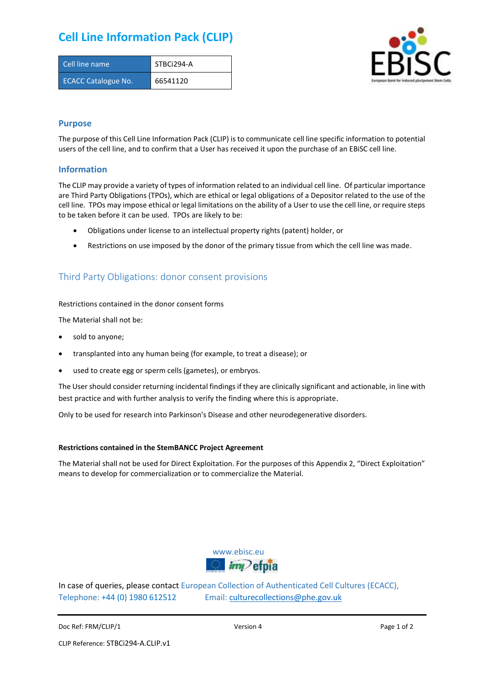# **Cell Line Information Pack (CLIP)**

| Cell line name             | STBCi294-A |
|----------------------------|------------|
| <b>ECACC Catalogue No.</b> | 66541120   |



### **Purpose**

The purpose of this Cell Line Information Pack (CLIP) is to communicate cell line specific information to potential users of the cell line, and to confirm that a User has received it upon the purchase of an EBiSC cell line.

### **Information**

The CLIP may provide a variety of types of information related to an individual cell line. Of particular importance are Third Party Obligations (TPOs), which are ethical or legal obligations of a Depositor related to the use of the cell line. TPOs may impose ethical or legal limitations on the ability of a User to use the cell line, or require steps to be taken before it can be used. TPOs are likely to be:

- Obligations under license to an intellectual property rights (patent) holder, or
- Restrictions on use imposed by the donor of the primary tissue from which the cell line was made.

## Third Party Obligations: donor consent provisions

#### Restrictions contained in the donor consent forms

The Material shall not be:

- sold to anyone;
- transplanted into any human being (for example, to treat a disease); or
- used to create egg or sperm cells (gametes), or embryos.

The User should consider returning incidental findings if they are clinically significant and actionable, in line with best practice and with further analysis to verify the finding where this is appropriate.

Only to be used for research into Parkinson's Disease and other neurodegenerative disorders.

#### **Restrictions contained in the StemBANCC Project Agreement**

The Material shall not be used for Direct Exploitation. For the purposes of this Appendix 2, "Direct Exploitation" means to develop for commercialization or to commercialize the Material.



In case of queries, please contact European Collection of Authenticated Cell Cultures (ECACC), Telephone: +44 (0) 1980 612512 Email: [culturecollections@phe.gov.uk](mailto:culturecollections@phe.gov.uk)

Doc Ref: FRM/CLIP/1 **Docessition 2** Page 1 of 2